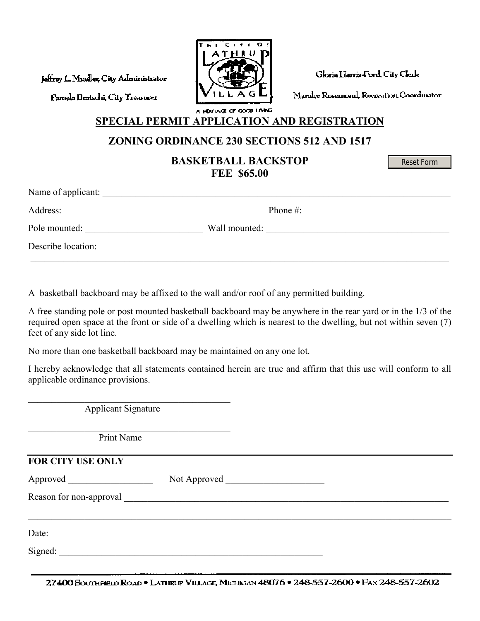Jeffrey L. Mueller, City Administrator

Paniela Bratschi, City Treamrex



Gloria Harris-Ford, City Clerk

Maralee Rosemond, Recreation Coordinator

a hentage of good laying SPECIAL PERMIT APPLICATION AND REGISTRATION

## ZONING ORDINANCE 230 SECTIONS 512 AND 1517

BASKETBALL BACKSTOP FEE \$65.00

Reset Form

| Name of applicant: |               |  |
|--------------------|---------------|--|
| Address:           | Phone $#$ :   |  |
| Pole mounted:      | Wall mounted: |  |
| Describe location: |               |  |
|                    |               |  |

A basketball backboard may be affixed to the wall and/or roof of any permitted building.

A free standing pole or post mounted basketball backboard may be anywhere in the rear yard or in the 1/3 of the required open space at the front or side of a dwelling which is nearest to the dwelling, but not within seven (7) feet of any side lot line.

 $\_$  , and the set of the set of the set of the set of the set of the set of the set of the set of the set of the set of the set of the set of the set of the set of the set of the set of the set of the set of the set of th

No more than one basketball backboard may be maintained on any one lot.

I hereby acknowledge that all statements contained herein are true and affirm that this use will conform to all applicable ordinance provisions.

| <b>Applicant Signature</b> |  |  |  |
|----------------------------|--|--|--|
| Print Name                 |  |  |  |
| FOR CITY USE ONLY          |  |  |  |
|                            |  |  |  |
|                            |  |  |  |
| Date:                      |  |  |  |
| Signed:                    |  |  |  |